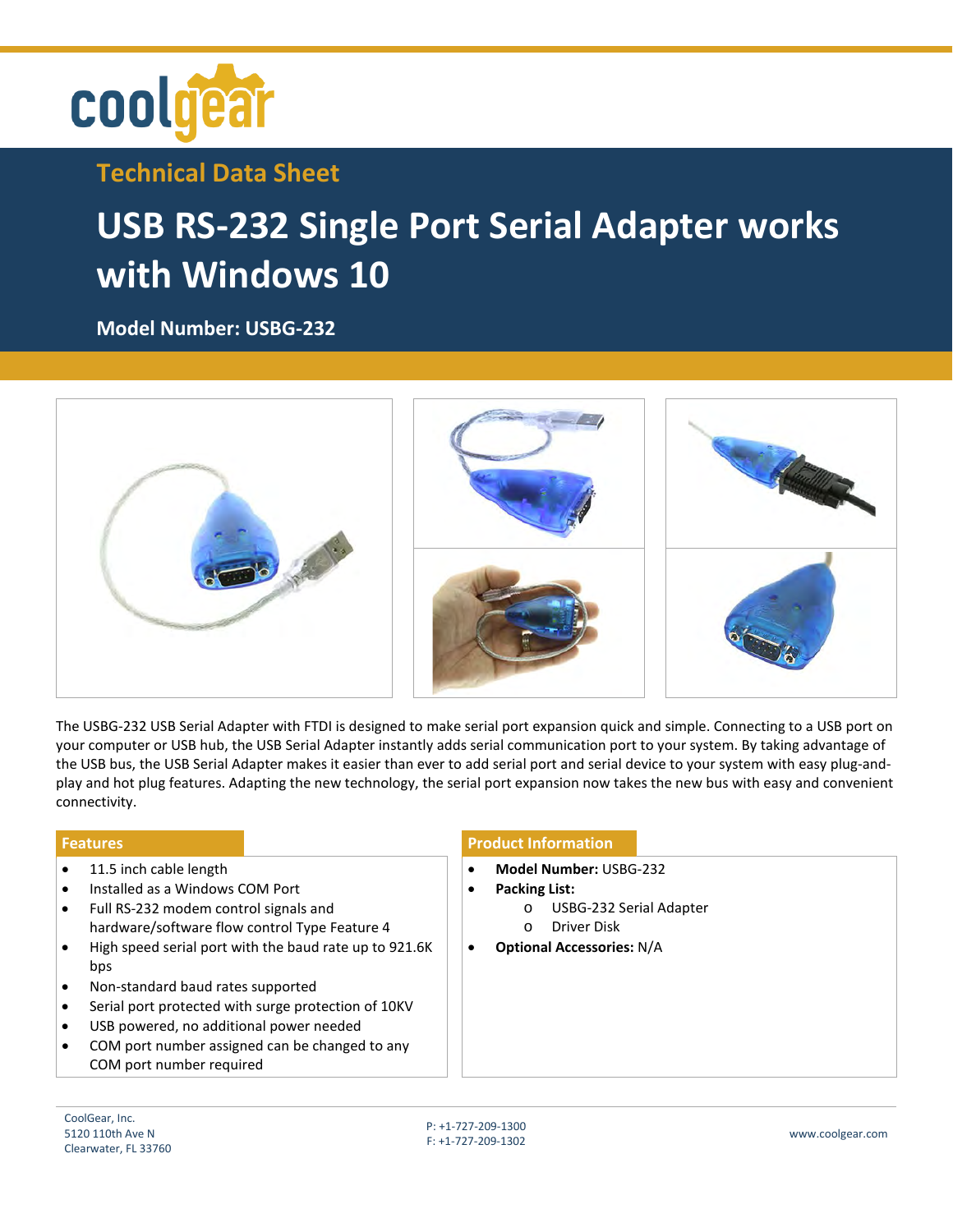

## **Technical Data Sheet**

## **USB RS-232 Single Port Serial Adapter works with Windows 10**

**Model Number: [USBG-232](https://www.coolgear.com/product/usb-rs-232-single-port-serial-adapter-works-with-all-windows-and-mac)**



The USBG-232 USB Serial Adapter with FTDI is designed to make serial port expansion quick and simple. Connecting to a USB port on your computer or USB hub, the USB Serial Adapter instantly adds serial communication port to your system. By taking advantage of the USB bus, the USB Serial Adapter makes it easier than ever to add serial port and serial device to your system with easy plug-andplay and hot plug features. Adapting the new technology, the serial port expansion now takes the new bus with easy and convenient connectivity.

- 11.5 inch cable length
- Installed as a Windows COM Port • Full RS-232 modem control signals and
- hardware/software flow control Type Feature 4
- High speed serial port with the baud rate up to 921.6K bps
- Non-standard baud rates supported
- Serial port protected with surge protection of 10KV
- USB powered, no additional power needed
- COM port number assigned can be changed to any COM port number required

## **Features Product Information**

- **Model Number:** USBG-232
- **Packing List:** 
	- o USBG-232 Serial Adapter
	- o Driver Disk
	- **Optional Accessories:** N/A